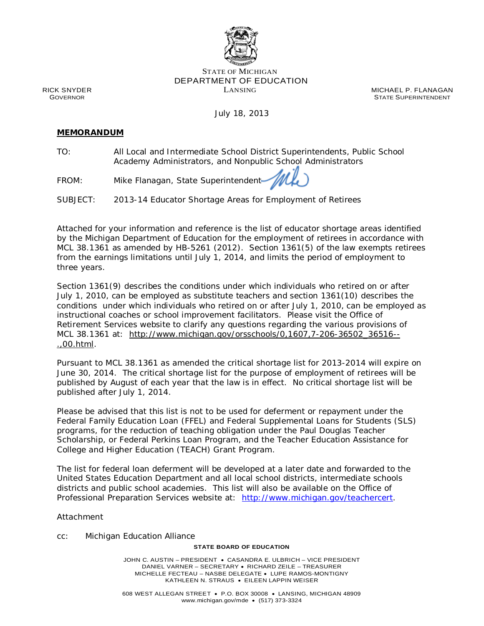

## STATE OF MICHIGAN DEPARTMENT OF EDUCATION LANSING

MICHAEL P. FLANAGAN STATE SUPERINTENDENT

RICK SNYDER GOVERNOR

July 18, 2013

## **MEMORANDUM**

TO: All Local and Intermediate School District Superintendents, Public School Academy Administrators, and Nonpublic School Administrators

FROM: Mike Flanagan, State Superintendent

SUBJECT: 2013-14 Educator Shortage Areas for Employment of Retirees

Attached for your information and reference is the list of educator shortage areas identified by the Michigan Department of Education for the employment of retirees in accordance with MCL 38.1361 as amended by HB-5261 (2012). Section 1361(5) of the law exempts retirees from the earnings limitations until July 1, 2014, and limits the period of employment to three years.

Section 1361(9) describes the conditions under which individuals who retired on or after July 1, 2010, can be employed as substitute teachers and section 1361(10) describes the conditions under which individuals who retired on or after July 1, 2010, can be employed as instructional coaches or school improvement facilitators. Please visit the Office of Retirement Services website to clarify any questions regarding the various provisions of MCL 38.1361 at: [http://www.michigan.gov/orsschools/0,1607,7-206-36502\\_36516--](http://www.michigan.gov/orsschools/0,1607,7-206-36502_36516--.,00.html) [.,00.html.](http://www.michigan.gov/orsschools/0,1607,7-206-36502_36516--.,00.html)

Pursuant to MCL 38.1361 as amended the critical shortage list for 2013-2014 will expire on June 30, 2014. The critical shortage list for the purpose of employment of retirees will be published by August of each year that the law is in effect. No critical shortage list will be published after July 1, 2014.

Please be advised that this list is not to be used for deferment or repayment under the Federal Family Education Loan (FFEL) and Federal Supplemental Loans for Students (SLS) programs, for the reduction of teaching obligation under the Paul Douglas Teacher Scholarship, or Federal Perkins Loan Program, and the Teacher Education Assistance for College and Higher Education (TEACH) Grant Program.

The list for federal loan deferment will be developed at a later date and forwarded to the United States Education Department and all local school districts, intermediate schools districts and public school academies. This list will also be available on the Office of Professional Preparation Services website at: [http://www.michigan.gov/teachercert.](http://www.michigan.gov/teachercert)

Attachment

cc: Michigan Education Alliance

## **STATE BOARD OF EDUCATION**

JOHN C. AUSTIN – PRESIDENT • CASANDRA E. ULBRICH – VICE PRESIDENT DANIEL VARNER – SECRETARY • RICHARD ZEILE – TREASURER MICHELLE FECTEAU – NASBE DELEGATE • LUPE RAMOS-MONTIGNY KATHLEEN N. STRAUS • EILEEN LAPPIN WEISER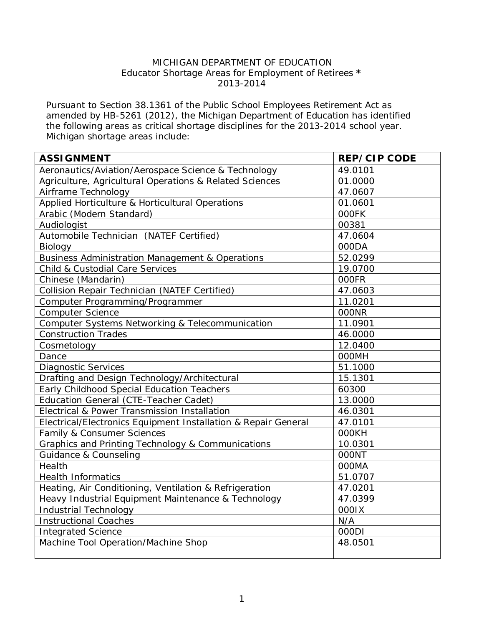## MICHIGAN DEPARTMENT OF EDUCATION Educator Shortage Areas for Employment of Retirees **\*** 2013-2014

Pursuant to Section 38.1361 of the Public School Employees Retirement Act as amended by HB-5261 (2012), the Michigan Department of Education has identified the following areas as critical shortage disciplines for the 2013-2014 school year. Michigan shortage areas include:

| <b>ASSIGNMENT</b>                                              | <b>REP/CIP CODE</b> |
|----------------------------------------------------------------|---------------------|
| Aeronautics/Aviation/Aerospace Science & Technology            | 49.0101             |
| Agriculture, Agricultural Operations & Related Sciences        | 01.0000             |
| Airframe Technology                                            | 47.0607             |
| Applied Horticulture & Horticultural Operations                | 01.0601             |
| Arabic (Modern Standard)                                       | 000FK               |
| Audiologist                                                    | 00381               |
| Automobile Technician (NATEF Certified)                        | 47.0604             |
| Biology                                                        | 000DA               |
| <b>Business Administration Management &amp; Operations</b>     | 52.0299             |
| Child & Custodial Care Services                                | 19.0700             |
| Chinese (Mandarin)                                             | 000FR               |
| Collision Repair Technician (NATEF Certified)                  | 47.0603             |
| Computer Programming/Programmer                                | 11.0201             |
| <b>Computer Science</b>                                        | 000NR               |
| Computer Systems Networking & Telecommunication                | 11.0901             |
| <b>Construction Trades</b>                                     | 46.0000             |
| Cosmetology                                                    | 12.0400             |
| Dance                                                          | <b>OOOMH</b>        |
| <b>Diagnostic Services</b>                                     | 51.1000             |
| Drafting and Design Technology/Architectural                   | 15.1301             |
| Early Childhood Special Education Teachers                     | 60300               |
| Education General (CTE-Teacher Cadet)                          | 13.0000             |
| Electrical & Power Transmission Installation                   | 46.0301             |
| Electrical/Electronics Equipment Installation & Repair General | 47.0101             |
| Family & Consumer Sciences                                     | 000KH               |
| Graphics and Printing Technology & Communications              | 10.0301             |
| Guidance & Counseling                                          | 000NT               |
| Health                                                         | 000MA               |
| <b>Health Informatics</b>                                      | 51.0707             |
| Heating, Air Conditioning, Ventilation & Refrigeration         | 47.0201             |
| Heavy Industrial Equipment Maintenance & Technology            | 47.0399             |
| <b>Industrial Technology</b>                                   | 0001X               |
| <b>Instructional Coaches</b>                                   | N/A                 |
| <b>Integrated Science</b>                                      | 000DI               |
| Machine Tool Operation/Machine Shop                            | 48.0501             |